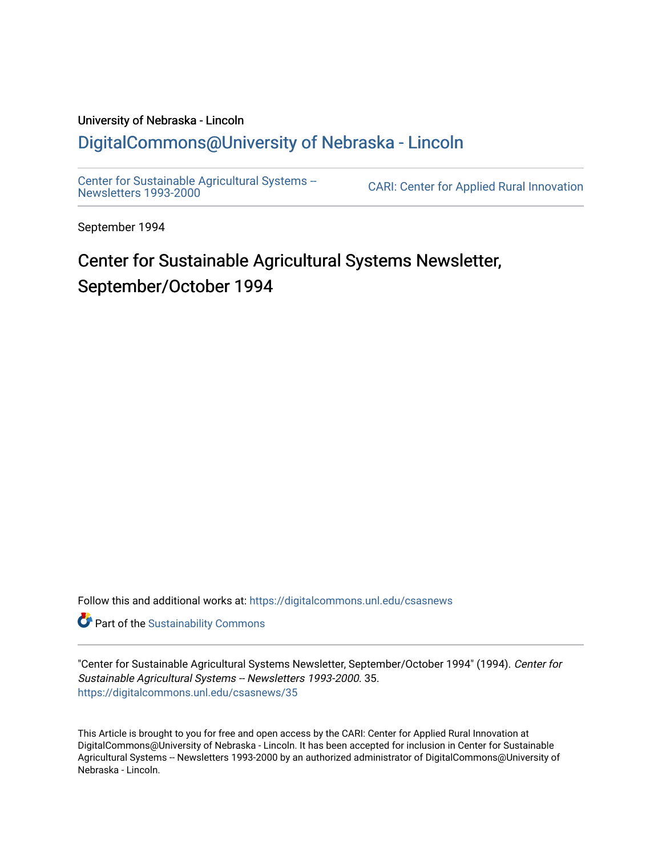# University of Nebraska - Lincoln [DigitalCommons@University of Nebraska - Lincoln](https://digitalcommons.unl.edu/)

[Center for Sustainable Agricultural Systems --](https://digitalcommons.unl.edu/csasnews)<br>Newsletters 1993-2000

CARI: Center for Applied Rural Innovation

September 1994

# Center for Sustainable Agricultural Systems Newsletter, September/October 1994

Follow this and additional works at: [https://digitalcommons.unl.edu/csasnews](https://digitalcommons.unl.edu/csasnews?utm_source=digitalcommons.unl.edu%2Fcsasnews%2F35&utm_medium=PDF&utm_campaign=PDFCoverPages) 

**Part of the [Sustainability Commons](http://network.bepress.com/hgg/discipline/1031?utm_source=digitalcommons.unl.edu%2Fcsasnews%2F35&utm_medium=PDF&utm_campaign=PDFCoverPages)** 

"Center for Sustainable Agricultural Systems Newsletter, September/October 1994" (1994). Center for Sustainable Agricultural Systems -- Newsletters 1993-2000. 35. [https://digitalcommons.unl.edu/csasnews/35](https://digitalcommons.unl.edu/csasnews/35?utm_source=digitalcommons.unl.edu%2Fcsasnews%2F35&utm_medium=PDF&utm_campaign=PDFCoverPages) 

This Article is brought to you for free and open access by the CARI: Center for Applied Rural Innovation at DigitalCommons@University of Nebraska - Lincoln. It has been accepted for inclusion in Center for Sustainable Agricultural Systems -- Newsletters 1993-2000 by an authorized administrator of DigitalCommons@University of Nebraska - Lincoln.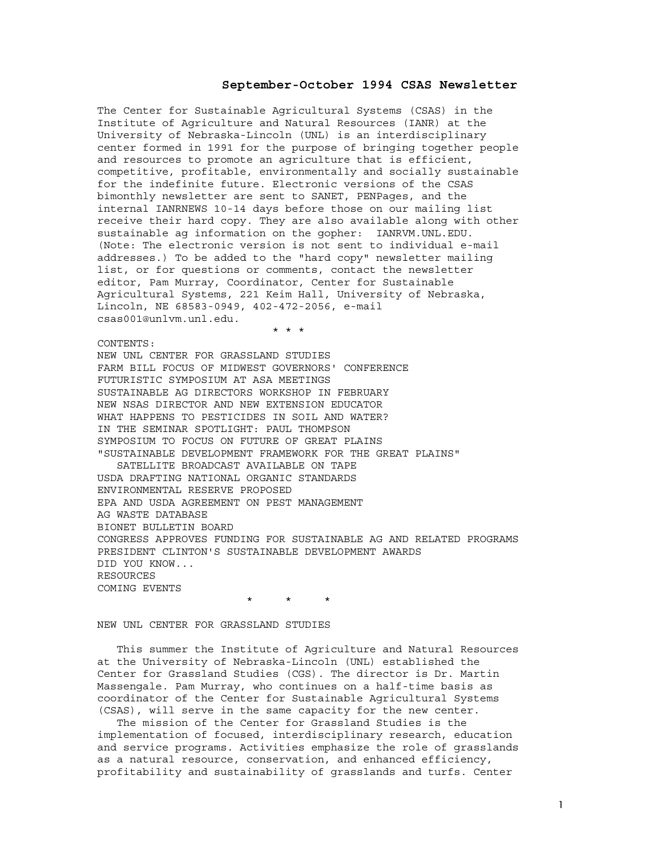# **September-October 1994 CSAS Newsletter**

The Center for Sustainable Agricultural Systems (CSAS) in the Institute of Agriculture and Natural Resources (IANR) at the University of Nebraska-Lincoln (UNL) is an interdisciplinary center formed in 1991 for the purpose of bringing together people and resources to promote an agriculture that is efficient, competitive, profitable, environmentally and socially sustainable for the indefinite future. Electronic versions of the CSAS bimonthly newsletter are sent to SANET, PENPages, and the internal IANRNEWS 10-14 days before those on our mailing list receive their hard copy. They are also available along with other sustainable ag information on the gopher: IANRVM.UNL.EDU. (Note: The electronic version is not sent to individual e-mail addresses.) To be added to the "hard copy" newsletter mailing list, or for questions or comments, contact the newsletter editor, Pam Murray, Coordinator, Center for Sustainable Agricultural Systems, 221 Keim Hall, University of Nebraska, Lincoln, NE 68583-0949, 402-472-2056, e-mail csas001@unlvm.unl.edu.

\* \* \*

CONTENTS: NEW UNL CENTER FOR GRASSLAND STUDIES FARM BILL FOCUS OF MIDWEST GOVERNORS' CONFERENCE FUTURISTIC SYMPOSIUM AT ASA MEETINGS SUSTAINABLE AG DIRECTORS WORKSHOP IN FEBRUARY NEW NSAS DIRECTOR AND NEW EXTENSION EDUCATOR WHAT HAPPENS TO PESTICIDES IN SOIL AND WATER? IN THE SEMINAR SPOTLIGHT: PAUL THOMPSON SYMPOSIUM TO FOCUS ON FUTURE OF GREAT PLAINS "SUSTAINABLE DEVELOPMENT FRAMEWORK FOR THE GREAT PLAINS" SATELLITE BROADCAST AVAILABLE ON TAPE USDA DRAFTING NATIONAL ORGANIC STANDARDS ENVIRONMENTAL RESERVE PROPOSED EPA AND USDA AGREEMENT ON PEST MANAGEMENT AG WASTE DATABASE BIONET BULLETIN BOARD CONGRESS APPROVES FUNDING FOR SUSTAINABLE AG AND RELATED PROGRAMS PRESIDENT CLINTON'S SUSTAINABLE DEVELOPMENT AWARDS DID YOU KNOW... RESOURCES COMING EVENTS \* \* \*

NEW UNL CENTER FOR GRASSLAND STUDIES

 This summer the Institute of Agriculture and Natural Resources at the University of Nebraska-Lincoln (UNL) established the Center for Grassland Studies (CGS). The director is Dr. Martin Massengale. Pam Murray, who continues on a half-time basis as coordinator of the Center for Sustainable Agricultural Systems (CSAS), will serve in the same capacity for the new center.

 The mission of the Center for Grassland Studies is the implementation of focused, interdisciplinary research, education and service programs. Activities emphasize the role of grasslands as a natural resource, conservation, and enhanced efficiency, profitability and sustainability of grasslands and turfs. Center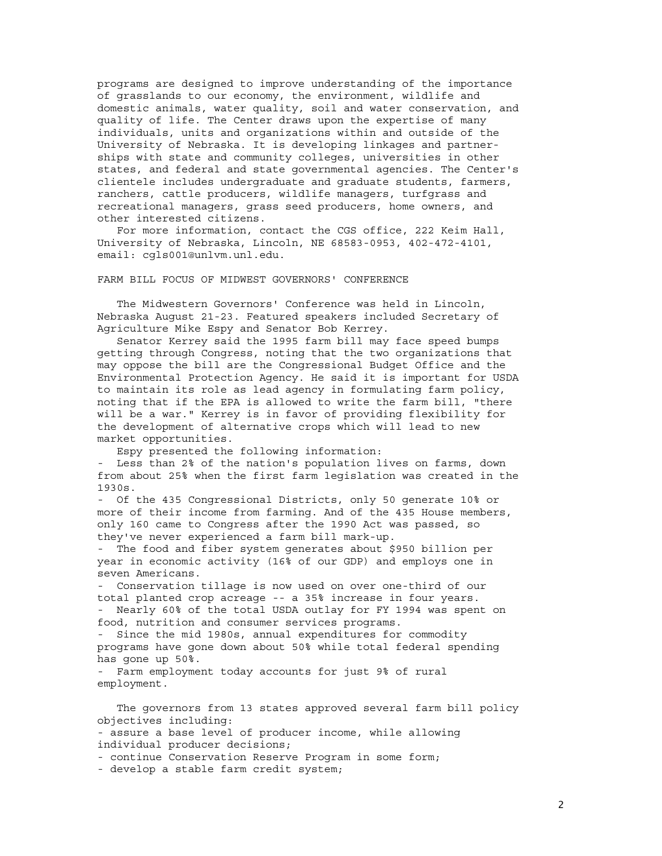programs are designed to improve understanding of the importance of grasslands to our economy, the environment, wildlife and domestic animals, water quality, soil and water conservation, and quality of life. The Center draws upon the expertise of many individuals, units and organizations within and outside of the University of Nebraska. It is developing linkages and partnerships with state and community colleges, universities in other states, and federal and state governmental agencies. The Center's clientele includes undergraduate and graduate students, farmers, ranchers, cattle producers, wildlife managers, turfgrass and recreational managers, grass seed producers, home owners, and other interested citizens.

 For more information, contact the CGS office, 222 Keim Hall, University of Nebraska, Lincoln, NE 68583-0953, 402-472-4101, email: cgls001@unlvm.unl.edu.

#### FARM BILL FOCUS OF MIDWEST GOVERNORS' CONFERENCE

 The Midwestern Governors' Conference was held in Lincoln, Nebraska August 21-23. Featured speakers included Secretary of Agriculture Mike Espy and Senator Bob Kerrey.

 Senator Kerrey said the 1995 farm bill may face speed bumps getting through Congress, noting that the two organizations that may oppose the bill are the Congressional Budget Office and the Environmental Protection Agency. He said it is important for USDA to maintain its role as lead agency in formulating farm policy, noting that if the EPA is allowed to write the farm bill, "there will be a war." Kerrey is in favor of providing flexibility for the development of alternative crops which will lead to new market opportunities.

Espy presented the following information:

- Less than 2% of the nation's population lives on farms, down from about 25% when the first farm legislation was created in the 1930s.

- Of the 435 Congressional Districts, only 50 generate 10% or more of their income from farming. And of the 435 House members, only 160 came to Congress after the 1990 Act was passed, so they've never experienced a farm bill mark-up.

- The food and fiber system generates about \$950 billion per year in economic activity (16% of our GDP) and employs one in seven Americans.

- Conservation tillage is now used on over one-third of our total planted crop acreage -- a 35% increase in four years. - Nearly 60% of the total USDA outlay for FY 1994 was spent on food, nutrition and consumer services programs.

- Since the mid 1980s, annual expenditures for commodity programs have gone down about 50% while total federal spending has gone up 50%.

- Farm employment today accounts for just 9% of rural employment.

 The governors from 13 states approved several farm bill policy objectives including:

- assure a base level of producer income, while allowing individual producer decisions;

- continue Conservation Reserve Program in some form;

- develop a stable farm credit system;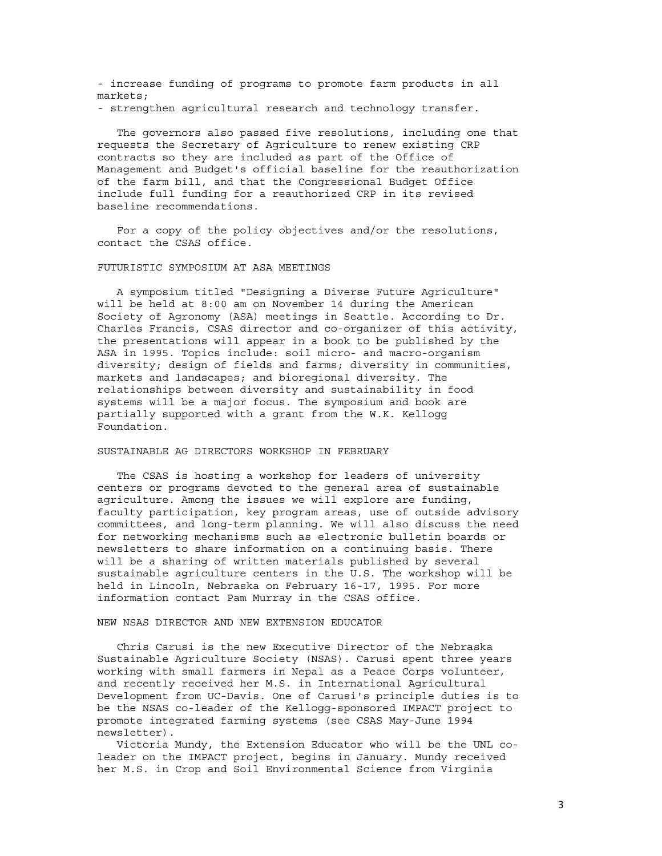- increase funding of programs to promote farm products in all markets;

- strengthen agricultural research and technology transfer.

 The governors also passed five resolutions, including one that requests the Secretary of Agriculture to renew existing CRP contracts so they are included as part of the Office of Management and Budget's official baseline for the reauthorization of the farm bill, and that the Congressional Budget Office include full funding for a reauthorized CRP in its revised baseline recommendations.

 For a copy of the policy objectives and/or the resolutions, contact the CSAS office.

# FUTURISTIC SYMPOSIUM AT ASA MEETINGS

 A symposium titled "Designing a Diverse Future Agriculture" will be held at 8:00 am on November 14 during the American Society of Agronomy (ASA) meetings in Seattle. According to Dr. Charles Francis, CSAS director and co-organizer of this activity, the presentations will appear in a book to be published by the ASA in 1995. Topics include: soil micro- and macro-organism diversity; design of fields and farms; diversity in communities, markets and landscapes; and bioregional diversity. The relationships between diversity and sustainability in food systems will be a major focus. The symposium and book are partially supported with a grant from the W.K. Kellogg Foundation.

SUSTAINABLE AG DIRECTORS WORKSHOP IN FEBRUARY

 The CSAS is hosting a workshop for leaders of university centers or programs devoted to the general area of sustainable agriculture. Among the issues we will explore are funding, faculty participation, key program areas, use of outside advisory committees, and long-term planning. We will also discuss the need for networking mechanisms such as electronic bulletin boards or newsletters to share information on a continuing basis. There will be a sharing of written materials published by several sustainable agriculture centers in the U.S. The workshop will be held in Lincoln, Nebraska on February 16-17, 1995. For more information contact Pam Murray in the CSAS office.

#### NEW NSAS DIRECTOR AND NEW EXTENSION EDUCATOR

 Chris Carusi is the new Executive Director of the Nebraska Sustainable Agriculture Society (NSAS). Carusi spent three years working with small farmers in Nepal as a Peace Corps volunteer, and recently received her M.S. in International Agricultural Development from UC-Davis. One of Carusi's principle duties is to be the NSAS co-leader of the Kellogg-sponsored IMPACT project to promote integrated farming systems (see CSAS May-June 1994 newsletter).

 Victoria Mundy, the Extension Educator who will be the UNL coleader on the IMPACT project, begins in January. Mundy received her M.S. in Crop and Soil Environmental Science from Virginia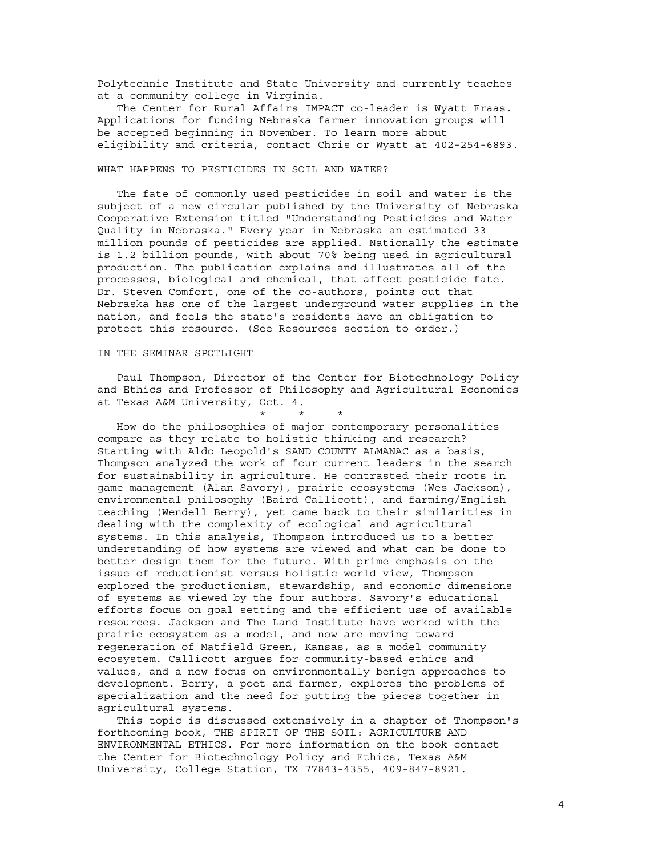Polytechnic Institute and State University and currently teaches at a community college in Virginia.

 The Center for Rural Affairs IMPACT co-leader is Wyatt Fraas. Applications for funding Nebraska farmer innovation groups will be accepted beginning in November. To learn more about eligibility and criteria, contact Chris or Wyatt at 402-254-6893.

# WHAT HAPPENS TO PESTICIDES IN SOIL AND WATER?

 The fate of commonly used pesticides in soil and water is the subject of a new circular published by the University of Nebraska Cooperative Extension titled "Understanding Pesticides and Water Quality in Nebraska." Every year in Nebraska an estimated 33 million pounds of pesticides are applied. Nationally the estimate is 1.2 billion pounds, with about 70% being used in agricultural production. The publication explains and illustrates all of the processes, biological and chemical, that affect pesticide fate. Dr. Steven Comfort, one of the co-authors, points out that Nebraska has one of the largest underground water supplies in the nation, and feels the state's residents have an obligation to protect this resource. (See Resources section to order.)

# IN THE SEMINAR SPOTLIGHT

 Paul Thompson, Director of the Center for Biotechnology Policy and Ethics and Professor of Philosophy and Agricultural Economics at Texas A&M University, Oct. 4.

\* \* \*

 How do the philosophies of major contemporary personalities compare as they relate to holistic thinking and research? Starting with Aldo Leopold's SAND COUNTY ALMANAC as a basis, Thompson analyzed the work of four current leaders in the search for sustainability in agriculture. He contrasted their roots in game management (Alan Savory), prairie ecosystems (Wes Jackson), environmental philosophy (Baird Callicott), and farming/English teaching (Wendell Berry), yet came back to their similarities in dealing with the complexity of ecological and agricultural systems. In this analysis, Thompson introduced us to a better understanding of how systems are viewed and what can be done to better design them for the future. With prime emphasis on the issue of reductionist versus holistic world view, Thompson explored the productionism, stewardship, and economic dimensions of systems as viewed by the four authors. Savory's educational efforts focus on goal setting and the efficient use of available resources. Jackson and The Land Institute have worked with the prairie ecosystem as a model, and now are moving toward regeneration of Matfield Green, Kansas, as a model community ecosystem. Callicott argues for community-based ethics and values, and a new focus on environmentally benign approaches to development. Berry, a poet and farmer, explores the problems of specialization and the need for putting the pieces together in agricultural systems.

 This topic is discussed extensively in a chapter of Thompson's forthcoming book, THE SPIRIT OF THE SOIL: AGRICULTURE AND ENVIRONMENTAL ETHICS. For more information on the book contact the Center for Biotechnology Policy and Ethics, Texas A&M University, College Station, TX 77843-4355, 409-847-8921.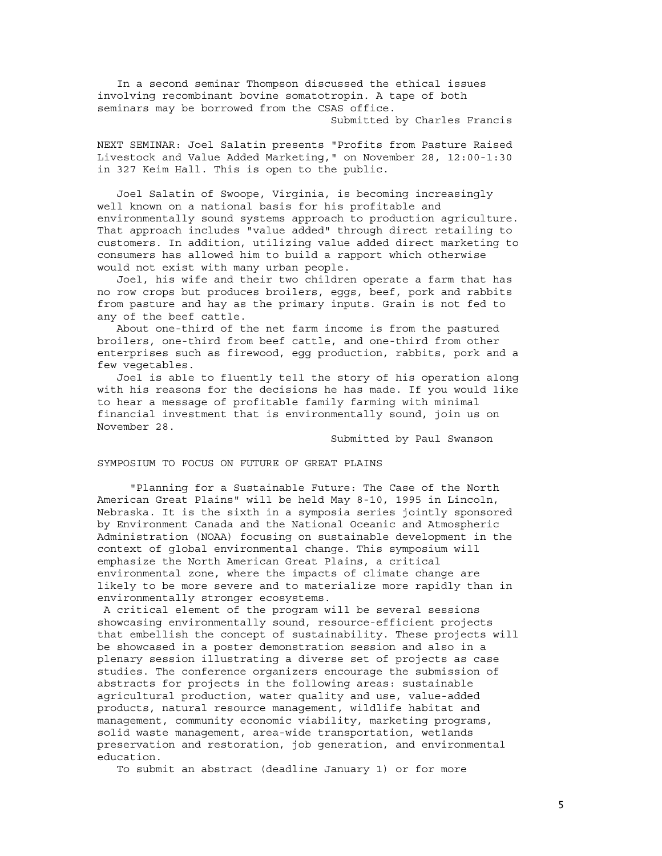In a second seminar Thompson discussed the ethical issues involving recombinant bovine somatotropin. A tape of both seminars may be borrowed from the CSAS office.

Submitted by Charles Francis

NEXT SEMINAR: Joel Salatin presents "Profits from Pasture Raised Livestock and Value Added Marketing," on November 28, 12:00-1:30 in 327 Keim Hall. This is open to the public.

 Joel Salatin of Swoope, Virginia, is becoming increasingly well known on a national basis for his profitable and environmentally sound systems approach to production agriculture. That approach includes "value added" through direct retailing to customers. In addition, utilizing value added direct marketing to consumers has allowed him to build a rapport which otherwise would not exist with many urban people.

 Joel, his wife and their two children operate a farm that has no row crops but produces broilers, eggs, beef, pork and rabbits from pasture and hay as the primary inputs. Grain is not fed to any of the beef cattle.

 About one-third of the net farm income is from the pastured broilers, one-third from beef cattle, and one-third from other enterprises such as firewood, egg production, rabbits, pork and a few vegetables.

 Joel is able to fluently tell the story of his operation along with his reasons for the decisions he has made. If you would like to hear a message of profitable family farming with minimal financial investment that is environmentally sound, join us on November 28.

Submitted by Paul Swanson

# SYMPOSIUM TO FOCUS ON FUTURE OF GREAT PLAINS

 "Planning for a Sustainable Future: The Case of the North American Great Plains" will be held May 8-10, 1995 in Lincoln, Nebraska. It is the sixth in a symposia series jointly sponsored by Environment Canada and the National Oceanic and Atmospheric Administration (NOAA) focusing on sustainable development in the context of global environmental change. This symposium will emphasize the North American Great Plains, a critical environmental zone, where the impacts of climate change are likely to be more severe and to materialize more rapidly than in environmentally stronger ecosystems.

 A critical element of the program will be several sessions showcasing environmentally sound, resource-efficient projects that embellish the concept of sustainability. These projects will be showcased in a poster demonstration session and also in a plenary session illustrating a diverse set of projects as case studies. The conference organizers encourage the submission of abstracts for projects in the following areas: sustainable agricultural production, water quality and use, value-added products, natural resource management, wildlife habitat and management, community economic viability, marketing programs, solid waste management, area-wide transportation, wetlands preservation and restoration, job generation, and environmental education.

To submit an abstract (deadline January 1) or for more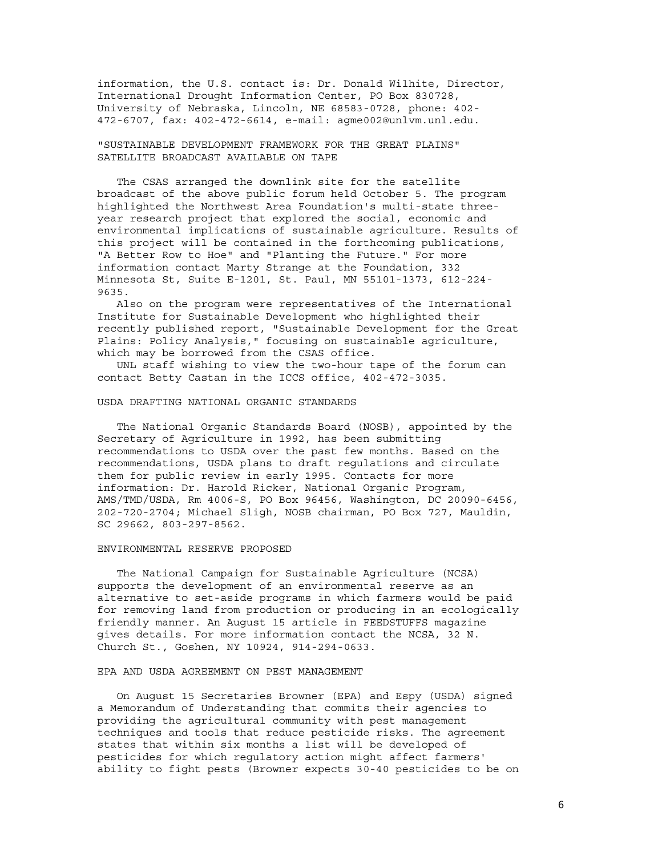information, the U.S. contact is: Dr. Donald Wilhite, Director, International Drought Information Center, PO Box 830728, University of Nebraska, Lincoln, NE 68583-0728, phone: 402- 472-6707, fax: 402-472-6614, e-mail: agme002@unlvm.unl.edu.

"SUSTAINABLE DEVELOPMENT FRAMEWORK FOR THE GREAT PLAINS" SATELLITE BROADCAST AVAILABLE ON TAPE

 The CSAS arranged the downlink site for the satellite broadcast of the above public forum held October 5. The program highlighted the Northwest Area Foundation's multi-state threeyear research project that explored the social, economic and environmental implications of sustainable agriculture. Results of this project will be contained in the forthcoming publications, "A Better Row to Hoe" and "Planting the Future." For more information contact Marty Strange at the Foundation, 332 Minnesota St, Suite E-1201, St. Paul, MN 55101-1373, 612-224- 9635.

 Also on the program were representatives of the International Institute for Sustainable Development who highlighted their recently published report, "Sustainable Development for the Great Plains: Policy Analysis," focusing on sustainable agriculture, which may be borrowed from the CSAS office.

 UNL staff wishing to view the two-hour tape of the forum can contact Betty Castan in the ICCS office, 402-472-3035.

#### USDA DRAFTING NATIONAL ORGANIC STANDARDS

 The National Organic Standards Board (NOSB), appointed by the Secretary of Agriculture in 1992, has been submitting recommendations to USDA over the past few months. Based on the recommendations, USDA plans to draft regulations and circulate them for public review in early 1995. Contacts for more information: Dr. Harold Ricker, National Organic Program, AMS/TMD/USDA, Rm 4006-S, PO Box 96456, Washington, DC 20090-6456, 202-720-2704; Michael Sligh, NOSB chairman, PO Box 727, Mauldin, SC 29662, 803-297-8562.

#### ENVIRONMENTAL RESERVE PROPOSED

 The National Campaign for Sustainable Agriculture (NCSA) supports the development of an environmental reserve as an alternative to set-aside programs in which farmers would be paid for removing land from production or producing in an ecologically friendly manner. An August 15 article in FEEDSTUFFS magazine gives details. For more information contact the NCSA, 32 N. Church St., Goshen, NY 10924, 914-294-0633.

## EPA AND USDA AGREEMENT ON PEST MANAGEMENT

 On August 15 Secretaries Browner (EPA) and Espy (USDA) signed a Memorandum of Understanding that commits their agencies to providing the agricultural community with pest management techniques and tools that reduce pesticide risks. The agreement states that within six months a list will be developed of pesticides for which regulatory action might affect farmers' ability to fight pests (Browner expects 30-40 pesticides to be on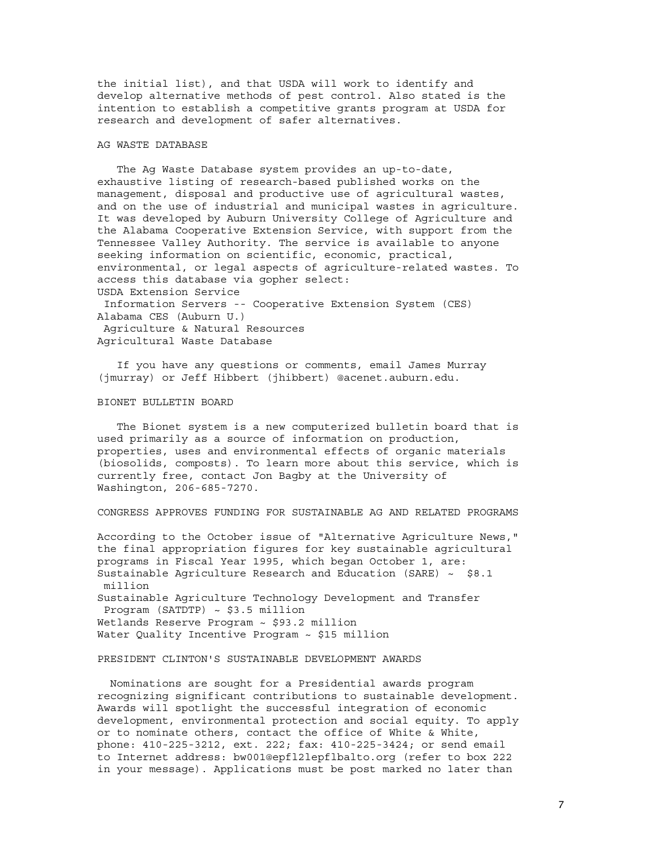the initial list), and that USDA will work to identify and develop alternative methods of pest control. Also stated is the intention to establish a competitive grants program at USDA for research and development of safer alternatives.

#### AG WASTE DATABASE

 The Ag Waste Database system provides an up-to-date, exhaustive listing of research-based published works on the management, disposal and productive use of agricultural wastes, and on the use of industrial and municipal wastes in agriculture. It was developed by Auburn University College of Agriculture and the Alabama Cooperative Extension Service, with support from the Tennessee Valley Authority. The service is available to anyone seeking information on scientific, economic, practical, environmental, or legal aspects of agriculture-related wastes. To access this database via gopher select: USDA Extension Service Information Servers -- Cooperative Extension System (CES) Alabama CES (Auburn U.) Agriculture & Natural Resources Agricultural Waste Database

 If you have any questions or comments, email James Murray (jmurray) or Jeff Hibbert (jhibbert) @acenet.auburn.edu.

#### BIONET BULLETIN BOARD

 The Bionet system is a new computerized bulletin board that is used primarily as a source of information on production, properties, uses and environmental effects of organic materials (biosolids, composts). To learn more about this service, which is currently free, contact Jon Bagby at the University of Washington, 206-685-7270.

# CONGRESS APPROVES FUNDING FOR SUSTAINABLE AG AND RELATED PROGRAMS

According to the October issue of "Alternative Agriculture News," the final appropriation figures for key sustainable agricultural programs in Fiscal Year 1995, which began October 1, are: Sustainable Agriculture Research and Education (SARE)  $\sim$  \$8.1 million Sustainable Agriculture Technology Development and Transfer Program (SATDTP) ~ \$3.5 million Wetlands Reserve Program ~ \$93.2 million Water Quality Incentive Program ~ \$15 million

#### PRESIDENT CLINTON'S SUSTAINABLE DEVELOPMENT AWARDS

 Nominations are sought for a Presidential awards program recognizing significant contributions to sustainable development. Awards will spotlight the successful integration of economic development, environmental protection and social equity. To apply or to nominate others, contact the office of White & White, phone: 410-225-3212, ext. 222; fax: 410-225-3424; or send email to Internet address: bw001@epfl2lepflbalto.org (refer to box 222 in your message). Applications must be post marked no later than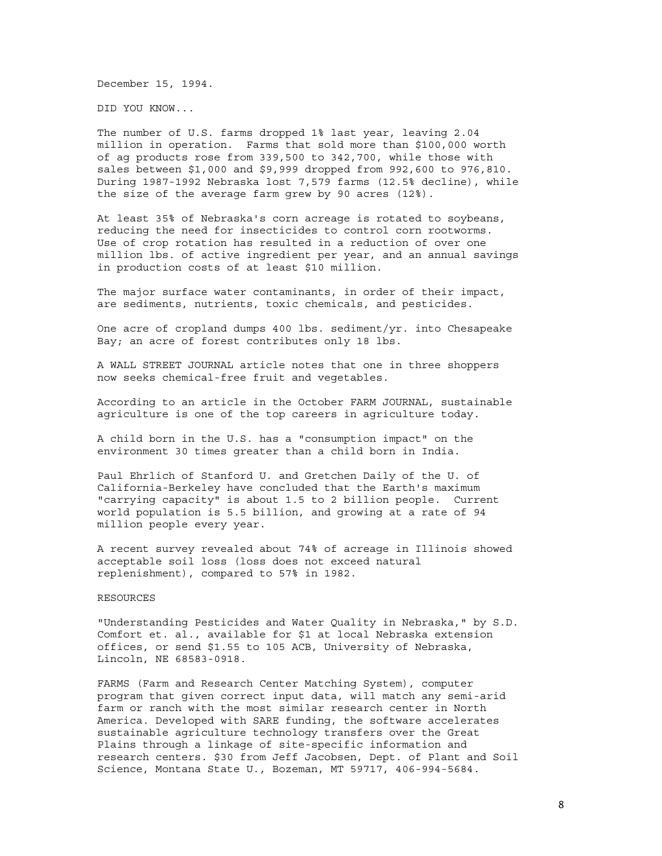December 15, 1994.

DID YOU KNOW...

The number of U.S. farms dropped 1% last year, leaving 2.04 million in operation. Farms that sold more than \$100,000 worth of ag products rose from 339,500 to 342,700, while those with sales between \$1,000 and \$9,999 dropped from 992,600 to 976,810. During 1987-1992 Nebraska lost 7,579 farms (12.5% decline), while the size of the average farm grew by 90 acres (12%).

At least 35% of Nebraska's corn acreage is rotated to soybeans, reducing the need for insecticides to control corn rootworms. Use of crop rotation has resulted in a reduction of over one million lbs. of active ingredient per year, and an annual savings in production costs of at least \$10 million.

The major surface water contaminants, in order of their impact, are sediments, nutrients, toxic chemicals, and pesticides.

One acre of cropland dumps 400 lbs. sediment/yr. into Chesapeake Bay; an acre of forest contributes only 18 lbs.

A WALL STREET JOURNAL article notes that one in three shoppers now seeks chemical-free fruit and vegetables.

According to an article in the October FARM JOURNAL, sustainable agriculture is one of the top careers in agriculture today.

A child born in the U.S. has a "consumption impact" on the environment 30 times greater than a child born in India.

Paul Ehrlich of Stanford U. and Gretchen Daily of the U. of California-Berkeley have concluded that the Earth's maximum "carrying capacity" is about 1.5 to 2 billion people. Current world population is 5.5 billion, and growing at a rate of 94 million people every year.

A recent survey revealed about 74% of acreage in Illinois showed acceptable soil loss (loss does not exceed natural replenishment), compared to 57% in 1982.

#### RESOURCES

"Understanding Pesticides and Water Quality in Nebraska," by S.D. Comfort et. al., available for \$1 at local Nebraska extension offices, or send \$1.55 to 105 ACB, University of Nebraska, Lincoln, NE 68583-0918.

FARMS (Farm and Research Center Matching System), computer program that given correct input data, will match any semi-arid farm or ranch with the most similar research center in North America. Developed with SARE funding, the software accelerates sustainable agriculture technology transfers over the Great Plains through a linkage of site-specific information and research centers. \$30 from Jeff Jacobsen, Dept. of Plant and Soil Science, Montana State U., Bozeman, MT 59717, 406-994-5684.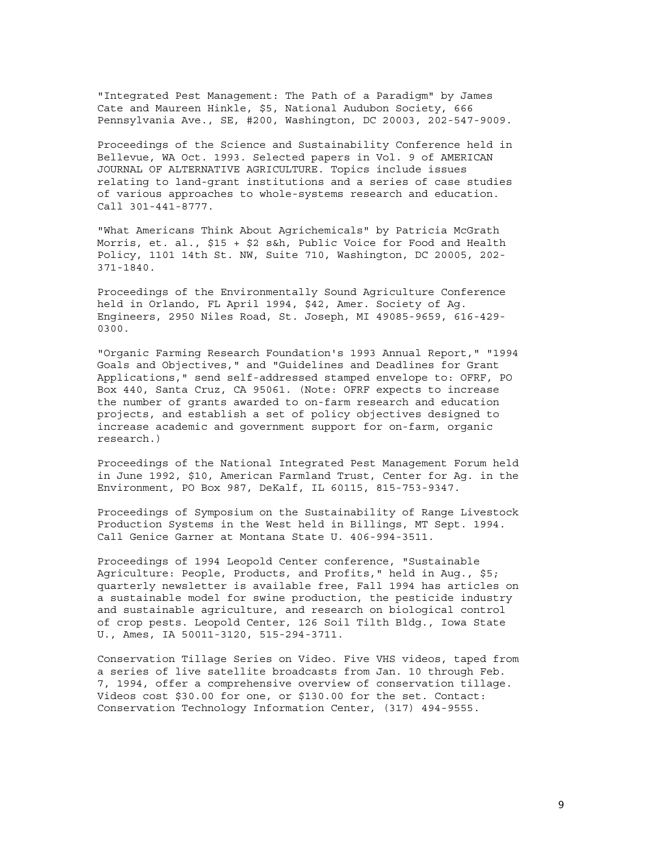"Integrated Pest Management: The Path of a Paradigm" by James Cate and Maureen Hinkle, \$5, National Audubon Society, 666 Pennsylvania Ave., SE, #200, Washington, DC 20003, 202-547-9009.

Proceedings of the Science and Sustainability Conference held in Bellevue, WA Oct. 1993. Selected papers in Vol. 9 of AMERICAN JOURNAL OF ALTERNATIVE AGRICULTURE. Topics include issues relating to land-grant institutions and a series of case studies of various approaches to whole-systems research and education. Call 301-441-8777.

"What Americans Think About Agrichemicals" by Patricia McGrath Morris, et. al., \$15 + \$2 s&h, Public Voice for Food and Health Policy, 1101 14th St. NW, Suite 710, Washington, DC 20005, 202- 371-1840.

Proceedings of the Environmentally Sound Agriculture Conference held in Orlando, FL April 1994, \$42, Amer. Society of Ag. Engineers, 2950 Niles Road, St. Joseph, MI 49085-9659, 616-429- 0300.

"Organic Farming Research Foundation's 1993 Annual Report," "1994 Goals and Objectives," and "Guidelines and Deadlines for Grant Applications," send self-addressed stamped envelope to: OFRF, PO Box 440, Santa Cruz, CA 95061. (Note: OFRF expects to increase the number of grants awarded to on-farm research and education projects, and establish a set of policy objectives designed to increase academic and government support for on-farm, organic research.)

Proceedings of the National Integrated Pest Management Forum held in June 1992, \$10, American Farmland Trust, Center for Ag. in the Environment, PO Box 987, DeKalf, IL 60115, 815-753-9347.

Proceedings of Symposium on the Sustainability of Range Livestock Production Systems in the West held in Billings, MT Sept. 1994. Call Genice Garner at Montana State U. 406-994-3511.

Proceedings of 1994 Leopold Center conference, "Sustainable Agriculture: People, Products, and Profits," held in Aug., \$5; quarterly newsletter is available free, Fall 1994 has articles on a sustainable model for swine production, the pesticide industry and sustainable agriculture, and research on biological control of crop pests. Leopold Center, 126 Soil Tilth Bldg., Iowa State U., Ames, IA 50011-3120, 515-294-3711.

Conservation Tillage Series on Video. Five VHS videos, taped from a series of live satellite broadcasts from Jan. 10 through Feb. 7, 1994, offer a comprehensive overview of conservation tillage. Videos cost \$30.00 for one, or \$130.00 for the set. Contact: Conservation Technology Information Center, (317) 494-9555.